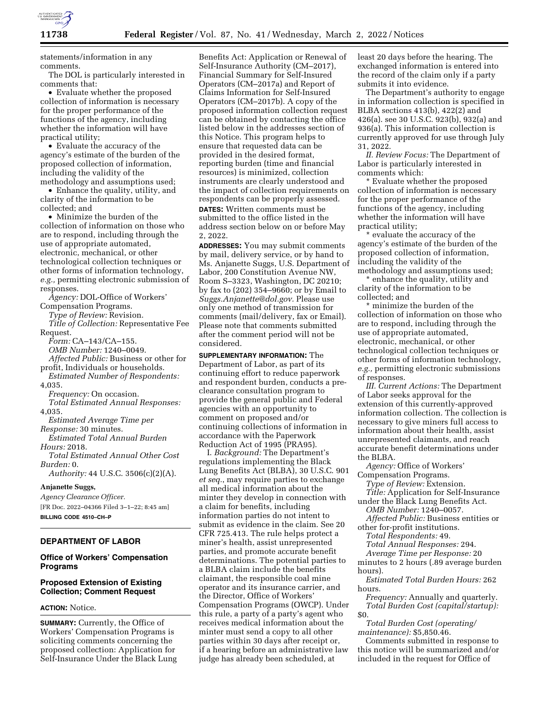

statements/information in any comments.

The DOL is particularly interested in comments that:

• Evaluate whether the proposed collection of information is necessary for the proper performance of the functions of the agency, including whether the information will have practical utility;

• Evaluate the accuracy of the agency's estimate of the burden of the proposed collection of information, including the validity of the methodology and assumptions used;

• Enhance the quality, utility, and clarity of the information to be collected; and

• Minimize the burden of the collection of information on those who are to respond, including through the use of appropriate automated, electronic, mechanical, or other technological collection techniques or other forms of information technology, *e.g.,* permitting electronic submission of responses.

*Agency:* DOL-Office of Workers' Compensation Programs.

*Type of Review:* Revision.

*Title of Collection:* Representative Fee Request.

*Form:* CA–143/CA–155.

*OMB Number:* 1240–0049. *Affected Public:* Business or other for

profit, Individuals or households. *Estimated Number of Respondents:* 

4,035.

*Frequency:* On occasion.

*Total Estimated Annual Responses:*  4,035.

*Estimated Average Time per Response:* 30 minutes.

- *Estimated Total Annual Burden Hours:* 2018.
- *Total Estimated Annual Other Cost Burden:* 0.

*Authority:* 44 U.S.C. 3506(c)(2)(A).

## **Anjanette Suggs,**

*Agency Clearance Officer.*  [FR Doc. 2022–04366 Filed 3–1–22; 8:45 am] **BILLING CODE 4510–CH–P** 

## **DEPARTMENT OF LABOR**

## **Office of Workers' Compensation Programs**

## **Proposed Extension of Existing Collection; Comment Request**

## **ACTION:** Notice.

**SUMMARY:** Currently, the Office of Workers' Compensation Programs is soliciting comments concerning the proposed collection: Application for Self-Insurance Under the Black Lung

Benefits Act: Application or Renewal of Self-Insurance Authority (CM–2017), Financial Summary for Self-Insured Operators (CM–2017a) and Report of Claims Information for Self-Insured Operators (CM–2017b). A copy of the proposed information collection request can be obtained by contacting the office listed below in the addresses section of this Notice. This program helps to ensure that requested data can be provided in the desired format, reporting burden (time and financial resources) is minimized, collection instruments are clearly understood and the impact of collection requirements on respondents can be properly assessed. **DATES:** Written comments must be submitted to the office listed in the address section below on or before May 2, 2022.

**ADDRESSES:** You may submit comments by mail, delivery service, or by hand to Ms. Anjanette Suggs, U.S. Department of Labor, 200 Constitution Avenue NW, Room S–3323, Washington, DC 20210; by fax to (202) 354–9660; or by Email to *[Suggs.Anjanette@dol.gov.](mailto:Suggs.Anjanette@dol.gov)* Please use only one method of transmission for comments (mail/delivery, fax or Email). Please note that comments submitted after the comment period will not be considered.

**SUPPLEMENTARY INFORMATION:** The Department of Labor, as part of its continuing effort to reduce paperwork and respondent burden, conducts a preclearance consultation program to provide the general public and Federal agencies with an opportunity to comment on proposed and/or continuing collections of information in accordance with the Paperwork Reduction Act of 1995 (PRA95).

I. *Background:* The Department's regulations implementing the Black Lung Benefits Act (BLBA), 30 U.S.C. 901 *et seq.*, may require parties to exchange all medical information about the minter they develop in connection with a claim for benefits, including information parties do not intent to submit as evidence in the claim. See 20 CFR 725.413. The rule helps protect a miner's health, assist unrepresented parties, and promote accurate benefit determinations. The potential parties to a BLBA claim include the benefits claimant, the responsible coal mine operator and its insurance carrier, and the Director, Office of Workers' Compensation Programs (OWCP). Under this rule, a party of a party's agent who receives medical information about the minter must send a copy to all other parties within 30 days after receipt or, if a hearing before an administrative law judge has already been scheduled, at

least 20 days before the hearing. The exchanged information is entered into the record of the claim only if a party submits it into evidence.

The Department's authority to engage in information collection is specified in BLBA sections 413(b), 422(2) and 426(a). see 30 U.S.C. 923(b), 932(a) and 936(a). This information collection is currently approved for use through July 31, 2022.

*II. Review Focus:* The Department of Labor is particularly interested in comments which:

\* Evaluate whether the proposed collection of information is necessary for the proper performance of the functions of the agency, including whether the information will have practical utility;

\* evaluate the accuracy of the agency's estimate of the burden of the proposed collection of information, including the validity of the methodology and assumptions used;

enhance the quality, utility and clarity of the information to be collected; and

\* minimize the burden of the collection of information on those who are to respond, including through the use of appropriate automated, electronic, mechanical, or other technological collection techniques or other forms of information technology, *e.g.,* permitting electronic submissions of responses.

*III. Current Actions:* The Department of Labor seeks approval for the extension of this currently-approved information collection. The collection is necessary to give miners full access to information about their health, assist unrepresented claimants, and reach accurate benefit determinations under the BLBA.

*Agency:* Office of Workers' Compensation Programs.

*Type of Review:* Extension.

*Title:* Application for Self-Insurance under the Black Lung Benefits Act.

*OMB Number:* 1240–0057.

*Affected Public:* Business entities or other for-profit institutions.

*Total Respondents:* 49.

*Total Annual Responses:* 294.

*Average Time per Response:* 20 minutes to 2 hours (.89 average burden hours).

*Estimated Total Burden Hours:* 262 hours.

*Frequency:* Annually and quarterly. *Total Burden Cost (capital/startup):*  \$0.

*Total Burden Cost (operating/ maintenance):* \$5,850.46.

Comments submitted in response to this notice will be summarized and/or included in the request for Office of